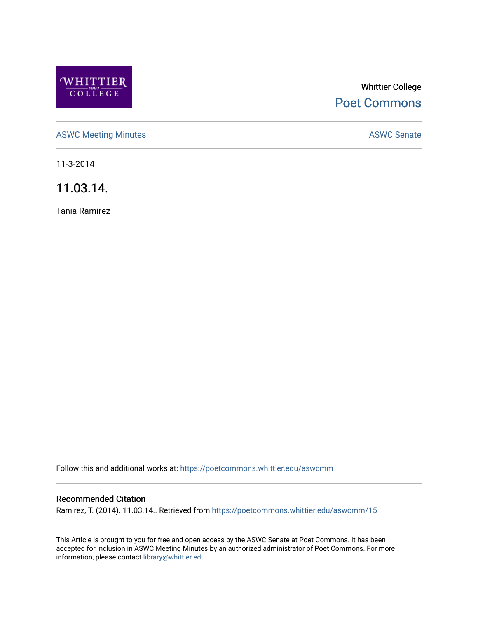

# Whittier College [Poet Commons](https://poetcommons.whittier.edu/)

[ASWC Meeting Minutes](https://poetcommons.whittier.edu/aswcmm) **ASWC Senate** 

11-3-2014

11.03.14.

Tania Ramirez

Follow this and additional works at: [https://poetcommons.whittier.edu/aswcmm](https://poetcommons.whittier.edu/aswcmm?utm_source=poetcommons.whittier.edu%2Faswcmm%2F15&utm_medium=PDF&utm_campaign=PDFCoverPages)

#### Recommended Citation

Ramirez, T. (2014). 11.03.14.. Retrieved from [https://poetcommons.whittier.edu/aswcmm/15](https://poetcommons.whittier.edu/aswcmm/15?utm_source=poetcommons.whittier.edu%2Faswcmm%2F15&utm_medium=PDF&utm_campaign=PDFCoverPages)

This Article is brought to you for free and open access by the ASWC Senate at Poet Commons. It has been accepted for inclusion in ASWC Meeting Minutes by an authorized administrator of Poet Commons. For more information, please contact [library@whittier.edu.](mailto:library@whittier.edu)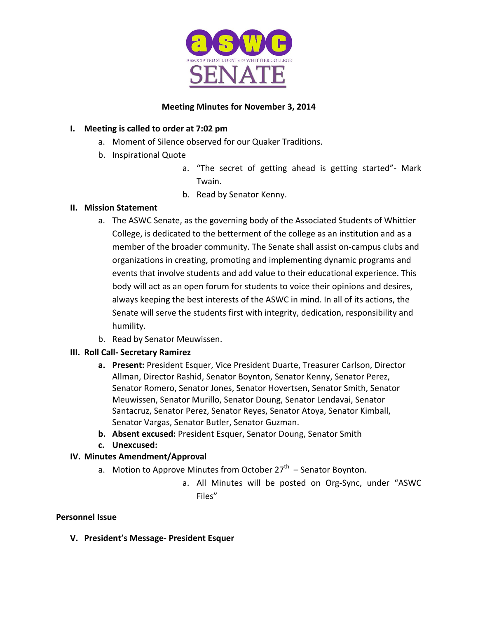

### **Meeting Minutes for November 3, 2014**

# **I.** Meeting is called to order at 7:02 pm

- a. Moment of Silence observed for our Quaker Traditions.
- b. Inspirational Quote
	- a. "The secret of getting ahead is getting started"- Mark Twain.
	- b. Read by Senator Kenny.

### **II. Mission Statement**

- a. The ASWC Senate, as the governing body of the Associated Students of Whittier College, is dedicated to the betterment of the college as an institution and as a member of the broader community. The Senate shall assist on-campus clubs and organizations in creating, promoting and implementing dynamic programs and events that involve students and add value to their educational experience. This body will act as an open forum for students to voice their opinions and desires, always keeping the best interests of the ASWC in mind. In all of its actions, the Senate will serve the students first with integrity, dedication, responsibility and humility.
- b. Read by Senator Meuwissen.

# **III. Roll Call- Secretary Ramirez**

- **a.** Present: President Esquer, Vice President Duarte, Treasurer Carlson, Director Allman, Director Rashid, Senator Boynton, Senator Kenny, Senator Perez, Senator Romero, Senator Jones, Senator Hovertsen, Senator Smith, Senator Meuwissen, Senator Murillo, Senator Doung, Senator Lendavai, Senator Santacruz, Senator Perez, Senator Reyes, Senator Atoya, Senator Kimball, Senator Vargas, Senator Butler, Senator Guzman.
- **b.** Absent excused: President Esquer, Senator Doung, Senator Smith
- **c. Unexcused:**

### **IV. Minutes Amendment/Approval**

- a. Motion to Approve Minutes from October  $27<sup>th</sup>$  Senator Boynton.
	- a. All Minutes will be posted on Org-Sync, under "ASWC Files"

### **Personnel Issue**

**V. President's Message- President Esquer**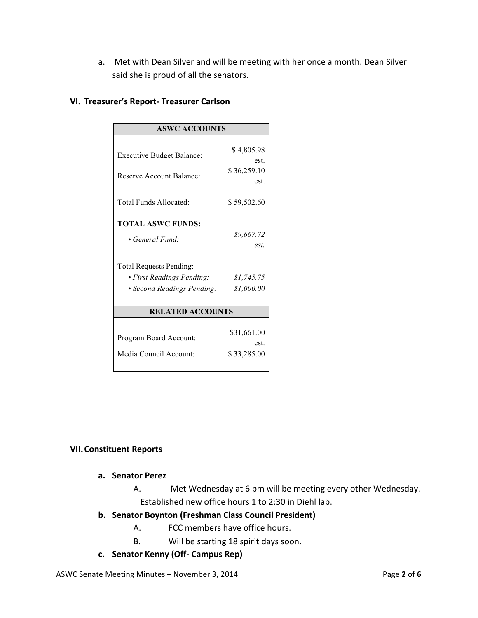a. Met with Dean Silver and will be meeting with her once a month. Dean Silver said she is proud of all the senators.

#### **VI. Treasurer's Report- Treasurer Carlson**

| <b>ASWC ACCOUNTS</b>             |                    |
|----------------------------------|--------------------|
|                                  |                    |
| <b>Executive Budget Balance:</b> | \$4,805.98<br>est. |
| Reserve Account Balance:         | \$36,259.10        |
|                                  | est.               |
| Total Funds Allocated:           | \$59,502.60        |
| <b>TOTAL ASWC FUNDS:</b>         |                    |
| $\bullet$ General Fund:          | \$9,667.72         |
|                                  | est.               |
| <b>Total Requests Pending:</b>   |                    |
| • First Readings Pending:        | \$1,745.75         |
| • Second Readings Pending:       | \$1,000.00         |
| <b>RELATED ACCOUNTS</b>          |                    |
|                                  |                    |
| Program Board Account:           | \$31,661.00<br>est |
| Media Council Account:           | \$33,285.00        |

#### **VII.Constituent Reports**

#### **a. Senator Perez**

- A. Met Wednesday at 6 pm will be meeting every other Wednesday. Established new office hours 1 to 2:30 in Diehl lab.
- **b. Senator Boynton (Freshman Class Council President)**
	- A. FCC members have office hours.
	- B. Will be starting 18 spirit days soon.
- **c. Senator Kenny (Off- Campus Rep)**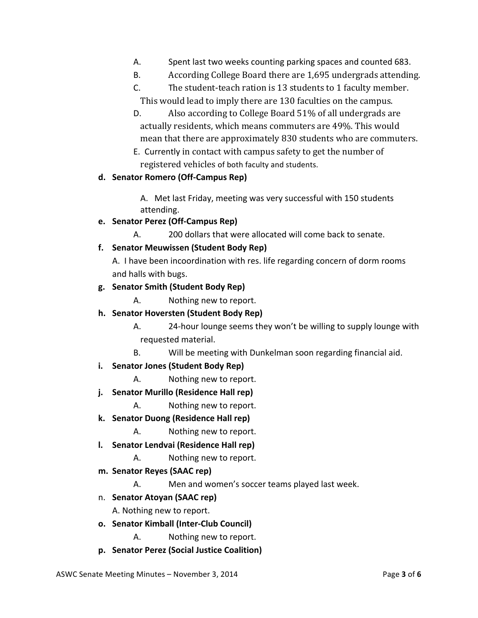- A. Spent last two weeks counting parking spaces and counted 683.
- B. According College Board there are 1,695 undergrads attending.
- C. The student-teach ration is 13 students to 1 faculty member. This would lead to imply there are 130 faculties on the campus.
- D. Also according to College Board 51% of all undergrads are actually residents, which means commuters are 49%. This would mean that there are approximately 830 students who are commuters.
- E. Currently in contact with campus safety to get the number of registered vehicles of both faculty and students.

### **d. Senator Romero (Off-Campus Rep)**

A. Met last Friday, meeting was very successful with 150 students attending. 

# **e. Senator Perez (Off-Campus Rep)**

A. 200 dollars that were allocated will come back to senate.

# **f. Senator Meuwissen (Student Body Rep)**

A. I have been incoordination with res. life regarding concern of dorm rooms and halls with bugs.

# **g. Senator Smith (Student Body Rep)**

A. Nothing new to report.

# **h. Senator Hoversten (Student Body Rep)**

A. 24-hour lounge seems they won't be willing to supply lounge with requested material.

B. Will be meeting with Dunkelman soon regarding financial aid.

### **i. Senator Jones (Student Body Rep)**

A. Nothing new to report.

**j. Senator Murillo (Residence Hall rep)**

A. Nothing new to report.

**k. Senator Duong (Residence Hall rep)**

A. Nothing new to report.

**l. Senator Lendvai (Residence Hall rep)**

A. Nothing new to report.

- **m. Senator Reyes (SAAC rep)**
	- A. Men and women's soccer teams played last week.
- n. **Senator Atoyan (SAAC rep)**

A. Nothing new to report.

**o. Senator Kimball (Inter-Club Council)**

A. Nothing new to report.

**p. Senator Perez (Social Justice Coalition)**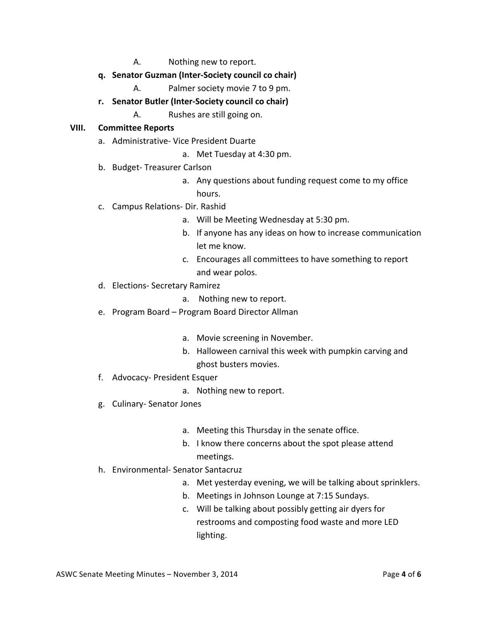- A. Nothing new to report.
- **q. Senator Guzman (Inter-Society council co chair)**
	- A. Palmer society movie 7 to 9 pm.
- **r. Senator Butler (Inter-Society council co chair)**
	- A. Rushes are still going on.

#### **VIII. Committee Reports**

- a. Administrative- Vice President Duarte
	- a. Met Tuesday at 4:30 pm.
- b. Budget- Treasurer Carlson
	- a. Any questions about funding request come to my office hours.
- c. Campus Relations- Dir. Rashid
	- a. Will be Meeting Wednesday at 5:30 pm.
	- b. If anyone has any ideas on how to increase communication let me know.
	- c. Encourages all committees to have something to report and wear polos.
- d. Elections- Secretary Ramirez
	- a. Nothing new to report.
- e. Program Board Program Board Director Allman
	- a. Movie screening in November.
	- b. Halloween carnival this week with pumpkin carving and ghost busters movies.
- f. Advocacy- President Esquer
	- a. Nothing new to report.
- g. Culinary- Senator Jones
	- a. Meeting this Thursday in the senate office.
	- b. I know there concerns about the spot please attend meetings.
- h. Environmental- Senator Santacruz
	- a. Met yesterday evening, we will be talking about sprinklers.
	- b. Meetings in Johnson Lounge at 7:15 Sundays.
	- c. Will be talking about possibly getting air dyers for restrooms and composting food waste and more LED lighting.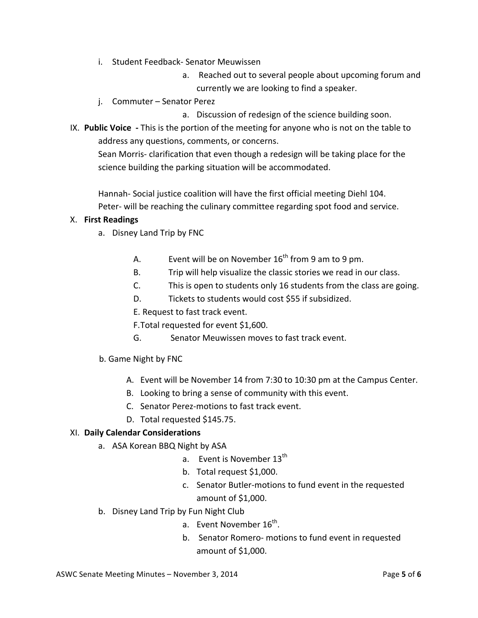- i. Student Feedback- Senator Meuwissen
	- a. Reached out to several people about upcoming forum and currently we are looking to find a speaker.
- j. Commuter Senator Perez
	- a. Discussion of redesign of the science building soon.
- IX. Public Voice This is the portion of the meeting for anyone who is not on the table to address any questions, comments, or concerns.

Sean Morris- clarification that even though a redesign will be taking place for the science building the parking situation will be accommodated.

Hannah- Social justice coalition will have the first official meeting Diehl 104. Peter- will be reaching the culinary committee regarding spot food and service.

#### X. **First Readings**

- a. Disney Land Trip by FNC
	- A. Event will be on November  $16<sup>th</sup>$  from 9 am to 9 pm.
	- B. Trip will help visualize the classic stories we read in our class.
	- C. This is open to students only 16 students from the class are going.
	- D. Tickets to students would cost \$55 if subsidized.
	- E. Request to fast track event.
	- F. Total requested for event \$1,600.
	- G. Senator Meuwissen moves to fast track event.
- b. Game Night by FNC
	- A. Event will be November 14 from 7:30 to 10:30 pm at the Campus Center.
	- B. Looking to bring a sense of community with this event.
	- C. Senator Perez-motions to fast track event.
	- D. Total requested \$145.75.

#### XI. **Daily Calendar Considerations**

- a. ASA Korean BBQ Night by ASA
	- a. Event is November  $13^{th}$
	- b. Total request \$1,000.
	- c. Senator Butler-motions to fund event in the requested amount of  $$1,000$ .
- b. Disney Land Trip by Fun Night Club
	- a. Event November 16<sup>th</sup>.
	- b. Senator Romero- motions to fund event in requested amount of \$1,000.